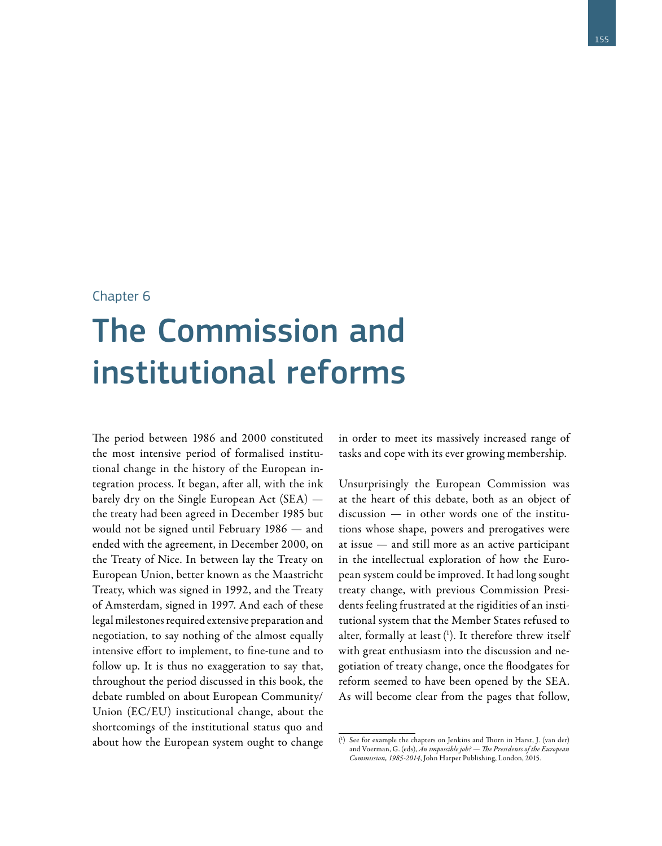## Chapter 6

## The Commission and institutional reforms

The period between 1986 and 2000 constituted the most intensive period of formalised institutional change in the history of the European integration process. It began, after all, with the ink barely dry on the Single European Act (SEA) the treaty had been agreed in December 1985 but would not be signed until February 1986 — and ended with the agreement, in December 2000, on the Treaty of Nice. In between lay the Treaty on European Union, better known as the Maastricht Treaty, which was signed in 1992, and the Treaty of Amsterdam, signed in 1997. And each of these legal milestones required extensive preparation and negotiation, to say nothing of the almost equally intensive effort to implement, to fine-tune and to follow up. It is thus no exaggeration to say that, throughout the period discussed in this book, the debate rumbled on about European Community/ Union (EC/EU) institutional change, about the shortcomings of the institutional status quo and about how the European system ought to change in order to meet its massively increased range of tasks and cope with its ever growing membership.

Unsurprisingly the European Commission was at the heart of this debate, both as an object of discussion — in other words one of the institutions whose shape, powers and prerogatives were at issue — and still more as an active participant in the intellectual exploration of how the European system could be improved. It had long sought treaty change, with previous Commission Presidents feeling frustrated at the rigidities of an institutional system that the Member States refused to alter, formally at least ( 1 ). It therefore threw itself with great enthusiasm into the discussion and negotiation of treaty change, once the floodgates for reform seemed to have been opened by the SEA. As will become clear from the pages that follow,

<sup>(</sup> 1 ) See for example the chapters on Jenkins and Thorn in Harst, J. (van der) and Voerman, G. (eds), *An impossible job? — The Presidents of the European Commission, 1985-2014*, John Harper Publishing, London, 2015.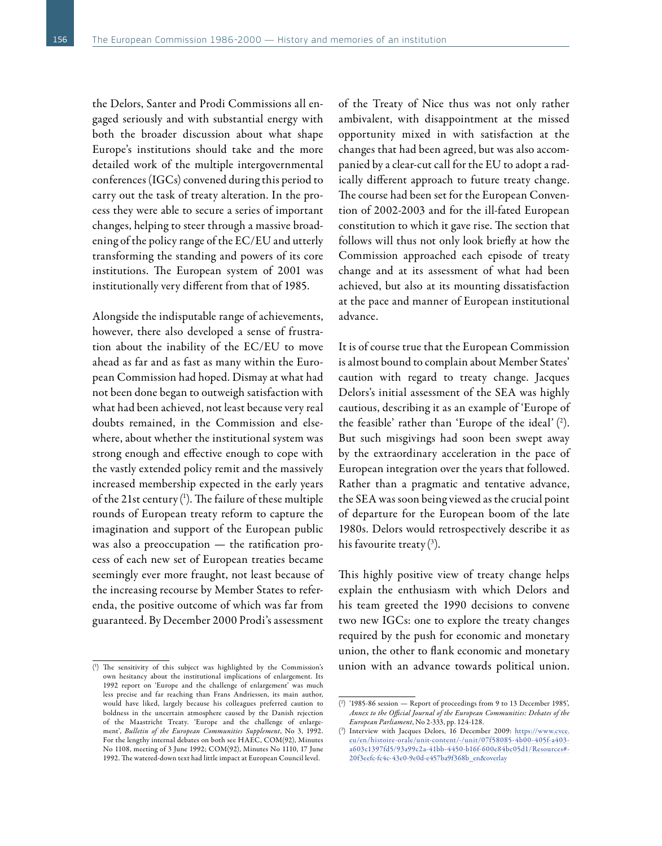the Delors, Santer and Prodi Commissions all engaged seriously and with substantial energy with both the broader discussion about what shape Europe's institutions should take and the more detailed work of the multiple intergovernmental conferences (IGCs) convened during this period to carry out the task of treaty alteration. In the process they were able to secure a series of important changes, helping to steer through a massive broadening of the policy range of the EC/EU and utterly transforming the standing and powers of its core institutions. The European system of 2001 was institutionally very different from that of 1985.

Alongside the indisputable range of achievements, however, there also developed a sense of frustration about the inability of the EC/EU to move ahead as far and as fast as many within the European Commission had hoped. Dismay at what had not been done began to outweigh satisfaction with what had been achieved, not least because very real doubts remained, in the Commission and elsewhere, about whether the institutional system was strong enough and effective enough to cope with the vastly extended policy remit and the massively increased membership expected in the early years of the 21st century ( 1 ). The failure of these multiple rounds of European treaty reform to capture the imagination and support of the European public was also a preoccupation — the ratification process of each new set of European treaties became seemingly ever more fraught, not least because of the increasing recourse by Member States to referenda, the positive outcome of which was far from guaranteed. By December 2000 Prodi's assessment

of the Treaty of Nice thus was not only rather ambivalent, with disappointment at the missed opportunity mixed in with satisfaction at the changes that had been agreed, but was also accompanied by a clear-cut call for the EU to adopt a radically different approach to future treaty change. The course had been set for the European Convention of 2002-2003 and for the ill-fated European constitution to which it gave rise. The section that follows will thus not only look briefly at how the Commission approached each episode of treaty change and at its assessment of what had been achieved, but also at its mounting dissatisfaction at the pace and manner of European institutional advance.

It is of course true that the European Commission is almost bound to complain about Member States' caution with regard to treaty change. Jacques Delors's initial assessment of the SEA was highly cautious, describing it as an example of 'Europe of the feasible' rather than 'Europe of the ideal' ( 2 ). But such misgivings had soon been swept away by the extraordinary acceleration in the pace of European integration over the years that followed. Rather than a pragmatic and tentative advance, the SEA was soon being viewed as the crucial point of departure for the European boom of the late 1980s. Delors would retrospectively describe it as his favourite treaty ( 3 ).

This highly positive view of treaty change helps explain the enthusiasm with which Delors and his team greeted the 1990 decisions to convene two new IGCs: one to explore the treaty changes required by the push for economic and monetary union, the other to flank economic and monetary union with an advance towards political union.

<sup>(</sup> 1 ) The sensitivity of this subject was highlighted by the Commission's own hesitancy about the institutional implications of enlargement. Its 1992 report on 'Europe and the challenge of enlargement' was much less precise and far reaching than Frans Andriessen, its main author, would have liked, largely because his colleagues preferred caution to boldness in the uncertain atmosphere caused by the Danish rejection of the Maastricht Treaty. 'Europe and the challenge of enlargement', *Bulletin of the European Communities Supplement*, No 3, 1992. For the lengthy internal debates on both see HAEC, COM(92), Minutes No 1108, meeting of 3 June 1992; COM(92), Minutes No 1110, 17 June 1992. The watered-down text had little impact at European Council level.

<sup>(</sup> 2 ) '1985-86 session — Report of proceedings from 9 to 13 December 1985'*, Annex to the Official Journal of the European Communities: Debates of the European Parliament*, No 2-333, pp. 124-128.

<sup>(</sup> 3 ) Interview with Jacques Delors, 16 December 2009: https://www.cvce. eu/en/histoire-orale/unit-content/-/unit/07f58085-4b00-405f-a403a603c1397fd5/93a99c2a-41bb-4450-b16f-600e84bc05d1/Resources# 20f3eefc-fc4c-43e0-9e0d-e457ba9f368b\_en&overlay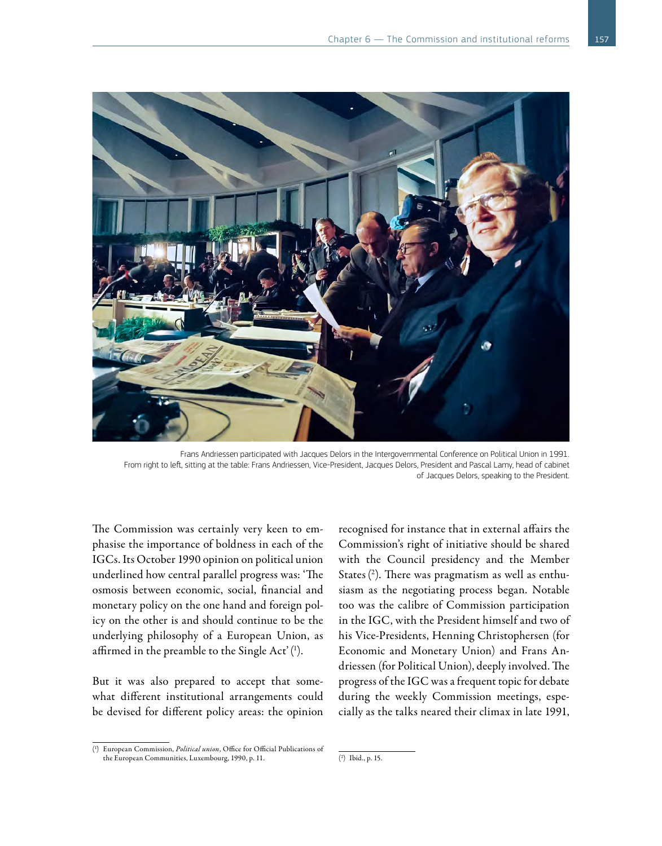

Frans Andriessen participated with Jacques Delors in the Intergovernmental Conference on Political Union in 1991. From right to left, sitting at the table: Frans Andriessen, Vice-President, Jacques Delors, President and Pascal Lamy, head of cabinet of Jacques Delors, speaking to the President.

The Commission was certainly very keen to emphasise the importance of boldness in each of the IGCs. Its October 1990 opinion on political union underlined how central parallel progress was: 'The osmosis between economic, social, financial and monetary policy on the one hand and foreign policy on the other is and should continue to be the underlying philosophy of a European Union, as affirmed in the preamble to the Single Act'( 1 ).

But it was also prepared to accept that somewhat different institutional arrangements could be devised for different policy areas: the opinion

recognised for instance that in external affairs the Commission's right of initiative should be shared with the Council presidency and the Member States( 2 ). There was pragmatism as well as enthusiasm as the negotiating process began. Notable too was the calibre of Commission participation in the IGC, with the President himself and two of his Vice-Presidents, Henning Christophersen (for Economic and Monetary Union) and Frans Andriessen (for Political Union), deeply involved. The progress of the IGC was a frequent topic for debate during the weekly Commission meetings, especially as the talks neared their climax in late 1991,

<sup>(</sup> 1 ) European Commission, *Political union*, Office for Official Publications of the European Communities, Luxembourg, 1990, p. 11.

<sup>(</sup> 2 ) Ibid., p. 15.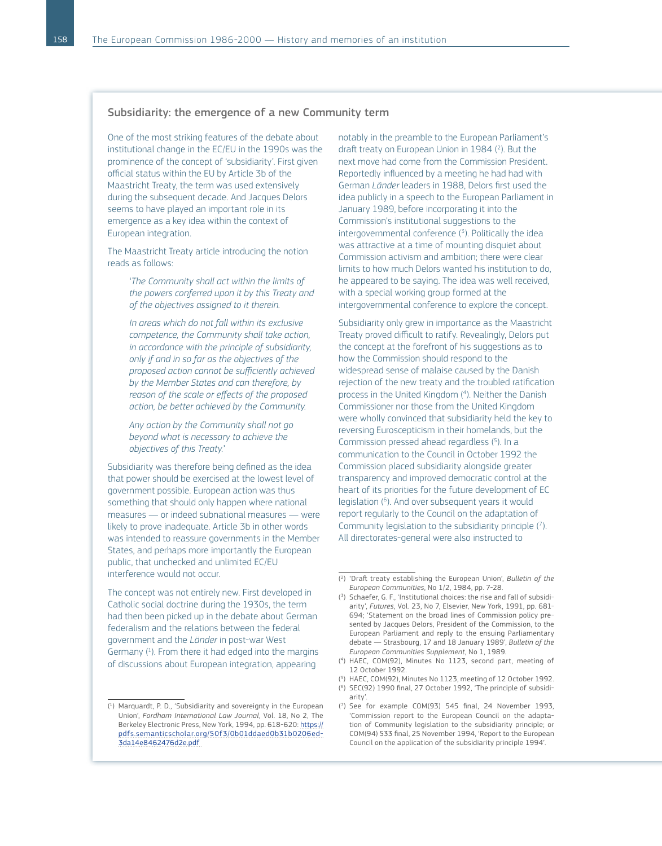## Subsidiarity: the emergence of a new Community term

One of the most striking features of the debate about institutional change in the EC/EU in the 1990s was the prominence of the concept of 'subsidiarity'. First given official status within the EU by Article 3b of the Maastricht Treaty, the term was used extensively during the subsequent decade. And Jacques Delors seems to have played an important role in its emergence as a key idea within the context of European integration.

The Maastricht Treaty article introducing the notion reads as follows:

> '*The Community shall act within the limits of the powers conferred upon it by this Treaty and of the objectives assigned to it therein.*

> *In areas which do not fall within its exclusive competence, the Community shall take action, in accordance with the principle of subsidiarity, only if and in so far as the objectives of the proposed action cannot be sufficiently achieved by the Member States and can therefore, by reason of the scale or effects of the proposed action, be better achieved by the Community.*

*Any action by the Community shall not go beyond what is necessary to achieve the objectives of this Treaty.*'

Subsidiarity was therefore being defined as the idea that power should be exercised at the lowest level of government possible. European action was thus something that should only happen where national measures — or indeed subnational measures — were likely to prove inadequate. Article 3b in other words was intended to reassure governments in the Member States, and perhaps more importantly the European public, that unchecked and unlimited EC/EU interference would not occur.

The concept was not entirely new. First developed in Catholic social doctrine during the 1930s, the term had then been picked up in the debate about German federalism and the relations between the federal government and the *Länder* in post-war West Germany ( 1 ). From there it had edged into the margins of discussions about European integration, appearing

( 1 ) Marquardt, P. D., 'Subsidiarity and sovereignty in the European Union', *Fordham International Law Journal*, Vol. 18, No 2, The Berkeley Electronic Press, New York, 1994, pp. 618-620: [https://](https://pdfs.semanticscholar.org/50f3/0b01ddaed0b31b0206ed3da14e8462476d2e.pdf ) [pdfs.semanticscholar.org/50f3/0b01ddaed0b31b0206ed-](https://pdfs.semanticscholar.org/50f3/0b01ddaed0b31b0206ed3da14e8462476d2e.pdf )[3da14e8462476d2e.pdf](https://pdfs.semanticscholar.org/50f3/0b01ddaed0b31b0206ed3da14e8462476d2e.pdf ) 

notably in the preamble to the European Parliament's draft treaty on European Union in 1984 ( 2 ). But the next move had come from the Commission President. Reportedly influenced by a meeting he had had with German *Länder* leaders in 1988, Delors first used the idea publicly in a speech to the European Parliament in January 1989, before incorporating it into the Commission's institutional suggestions to the intergovernmental conference ( 3 ). Politically the idea was attractive at a time of mounting disquiet about Commission activism and ambition; there were clear limits to how much Delors wanted his institution to do, he appeared to be saying. The idea was well received, with a special working group formed at the intergovernmental conference to explore the concept.

Subsidiarity only grew in importance as the Maastricht Treaty proved difficult to ratify. Revealingly, Delors put the concept at the forefront of his suggestions as to how the Commission should respond to the widespread sense of malaise caused by the Danish rejection of the new treaty and the troubled ratification process in the United Kingdom ( 4 ). Neither the Danish Commissioner nor those from the United Kingdom were wholly convinced that subsidiarity held the key to reversing Euroscepticism in their homelands, but the Commission pressed ahead regardless ( 5 ). In a communication to the Council in October 1992 the Commission placed subsidiarity alongside greater transparency and improved democratic control at the heart of its priorities for the future development of EC legislation ( 6 ). And over subsequent years it would report regularly to the Council on the adaptation of Community legislation to the subsidiarity principle ( 7 ). All directorates-general were also instructed to

<sup>(</sup> 2 ) 'Draft treaty establishing the European Union', *Bulletin of the European Communities*, No 1/2, 1984, pp. 7-28.

<sup>(</sup> 3 ) Schaefer, G. F., 'Institutional choices: the rise and fall of subsidiarity', *Futures*, Vol. 23, No 7, Elsevier, New York, 1991, pp. 681- 694; 'Statement on the broad lines of Commission policy presented by Jacques Delors, President of the Commission, to the European Parliament and reply to the ensuing Parliamentary debate — Strasbourg, 17 and 18 January 1989', *Bulletin of the European Communities Supplement*, No 1, 1989.

<sup>(</sup> 4 ) HAEC, COM(92), Minutes No 1123, second part, meeting of 12 October 1992.

<sup>(</sup> 5 ) HAEC, COM(92), Minutes No 1123, meeting of 12 October 1992.

<sup>(</sup> 6) SEC(92) 1990 final, 27 October 1992, 'The principle of subsidiarity'.

<sup>(</sup> 7) See for example COM(93) 545 final, 24 November 1993, 'Commission report to the European Council on the adaptation of Community legislation to the subsidiarity principle; or COM(94) 533 final, 25 November 1994, 'Report to the European Council on the application of the subsidiarity principle 1994'.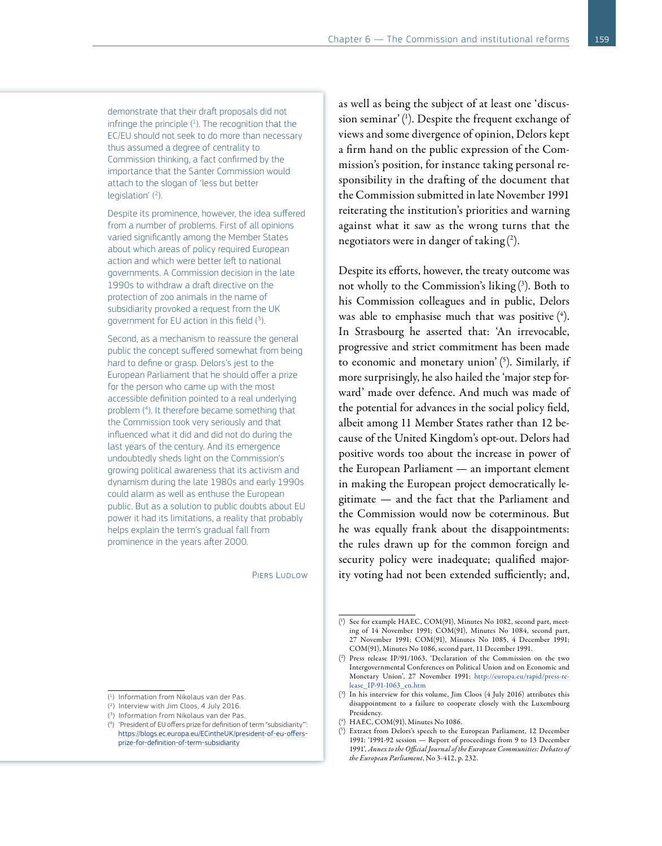demonstrate that their draft proposals did not infringe the principle  $(1)$ . The recognition that the EC/EU should not seek to do more than necessary thus assumed a degree of centrality to Commission thinking, a fact confirmed by the importance that the Santer Commission would attach to the slogan of 'less but better legislation' ( 2 ).

Despite its prominence, however, the idea suffered from a number of problems. First of all opinions varied significantly among the Member States about which areas of policy required European action and which were better left to national governments. A Commission decision in the late 1990s to withdraw a draft directive on the protection of zoo animals in the name of subsidiarity provoked a request from the UK government for EU action in this field  $(3)$ .

Second, as a mechanism to reassure the general public the concept suffered somewhat from being hard to define or grasp. Delors's jest to the European Parliament that he should offer a prize for the person who came up with the most accessible definition pointed to a real underlying problem ( 4 ). It therefore became something that the Commission took very seriously and that influenced what it did and did not do during the last years of the century. And its emergence undoubtedly sheds light on the Commission's growing political awareness that its activism and dynamism during the late 1980s and early 1990s could alarm as well as enthuse the European public. But as a solution to public doubts about EU power it had its limitations, a reality that probably helps explain the term's gradual fall from prominence in the years after 2000.

PIERS LUDLOW

as well as being the subject of at least one 'discussion seminar'( 1 ). Despite the frequent exchange of views and some divergence of opinion, Delors kept a firm hand on the public expression of the Commission's position, for instance taking personal responsibility in the drafting of the document that the Commission submitted in late November 1991 reiterating the institution's priorities and warning against what it saw as the wrong turns that the negotiators were in danger of taking  $(2)$ .

Despite its efforts, however, the treaty outcome was not wholly to the Commission's liking ( 3 ). Both to his Commission colleagues and in public, Delors was able to emphasise much that was positive ( 4 ). In Strasbourg he asserted that: 'An irrevocable, progressive and strict commitment has been made to economic and monetary union' ( 5 ). Similarly, if more surprisingly, he also hailed the 'major step forward' made over defence. And much was made of the potential for advances in the social policy field, albeit among 11 Member States rather than 12 because of the United Kingdom's opt-out. Delors had positive words too about the increase in power of the European Parliament — an important element in making the European project democratically legitimate — and the fact that the Parliament and the Commission would now be coterminous. But he was equally frank about the disappointments: the rules drawn up for the common foreign and security policy were inadequate; qualified majority voting had not been extended sufficiently; and,

<sup>(</sup> 1 ) See for example HAEC, COM(91), Minutes No 1082, second part, meeting of 14 November 1991; COM(91), Minutes No 1084, second part, 27 November 1991; COM(91), Minutes No 1085, 4 December 1991; COM(91), Minutes No 1086, second part, 11 December 1991.

<sup>(</sup> 2 ) Press release IP/91/1063, 'Declaration of the Commission on the two Intergovernmental Conferences on Political Union and on Economic and Monetary Union', 27 November 1991: [http://europa.eu/rapid/press-re](http://europa.eu/rapid/press-release_IP-91-1063_en.htm)[lease\\_IP-91-1063\\_en.htm](http://europa.eu/rapid/press-release_IP-91-1063_en.htm)

<sup>(</sup> 3 ) In his interview for this volume, Jim Cloos (4 July 2016) attributes this disappointment to a failure to cooperate closely with the Luxembourg Presidency.

<sup>(</sup> 4 ) HAEC, COM(91), Minutes No 1086.

<sup>(</sup> 5 ) Extract from Delors's speech to the European Parliament, 12 December 1991: '1991-92 session — Report of proceedings from 9 to 13 December 1991'*, Annex to the Official Journal of the European Communities: Debates of the European Parliament*, No 3-412, p. 232.

<sup>(</sup> 1 ) Information from Nikolaus van der Pas.

<sup>(</sup> 2 ) Interview with Jim Cloos, 4 July 2016.

<sup>(</sup> 3 ) Information from Nikolaus van der Pas.

<sup>(</sup> 4 ) 'President of EU offers prize for definition of term "subsidiarity"': [https://blogs.ec.europa.eu/ECintheUK/president-of-eu-offers](https://blogs.ec.europa.eu/ECintheUK/president-of-eu-offers-prize-for-definition-of-term-subsidiarity)[prize-for-definition-of-term-subsidiarity](https://blogs.ec.europa.eu/ECintheUK/president-of-eu-offers-prize-for-definition-of-term-subsidiarity)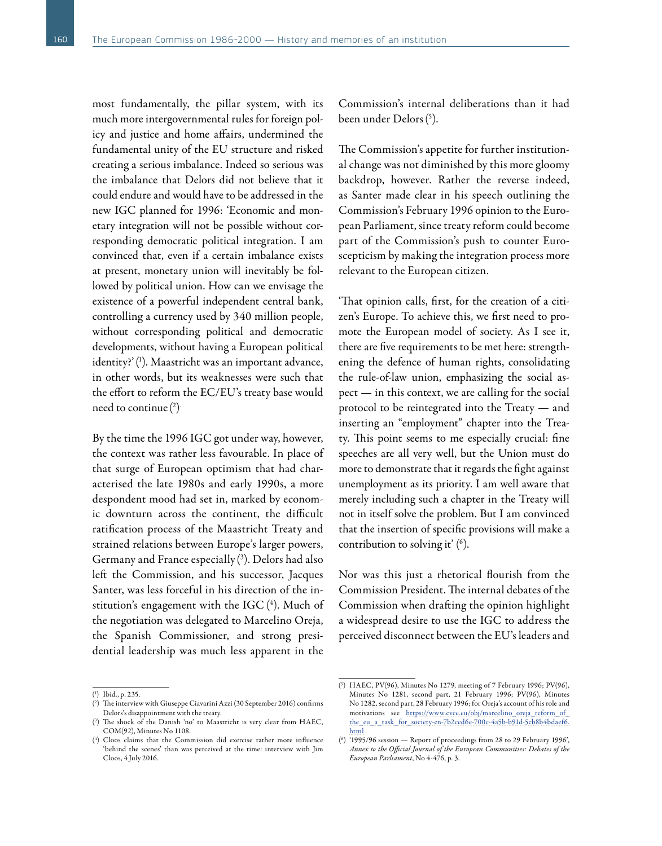most fundamentally, the pillar system, with its much more intergovernmental rules for foreign policy and justice and home affairs, undermined the fundamental unity of the EU structure and risked creating a serious imbalance. Indeed so serious was the imbalance that Delors did not believe that it could endure and would have to be addressed in the new IGC planned for 1996: 'Economic and monetary integration will not be possible without corresponding democratic political integration. I am convinced that, even if a certain imbalance exists at present, monetary union will inevitably be followed by political union. How can we envisage the existence of a powerful independent central bank, controlling a currency used by 340 million people, without corresponding political and democratic developments, without having a European political identity?'( 1 ). Maastricht was an important advance, in other words, but its weaknesses were such that the effort to reform the EC/EU's treaty base would need to continue  $(2)$ 

By the time the 1996 IGC got under way, however, the context was rather less favourable. In place of that surge of European optimism that had characterised the late 1980s and early 1990s, a more despondent mood had set in, marked by economic downturn across the continent, the difficult ratification process of the Maastricht Treaty and strained relations between Europe's larger powers, Germany and France especially ( 3 ). Delors had also left the Commission, and his successor, Jacques Santer, was less forceful in his direction of the institution's engagement with the IGC ( 4 ). Much of the negotiation was delegated to Marcelino Oreja, the Spanish Commissioner, and strong presidential leadership was much less apparent in the

Commission's internal deliberations than it had been under Delors( 5 ).

The Commission's appetite for further institutional change was not diminished by this more gloomy backdrop, however. Rather the reverse indeed, as Santer made clear in his speech outlining the Commission's February 1996 opinion to the European Parliament, since treaty reform could become part of the Commission's push to counter Euroscepticism by making the integration process more relevant to the European citizen.

'That opinion calls, first, for the creation of a citizen's Europe. To achieve this, we first need to promote the European model of society. As I see it, there are five requirements to be met here: strengthening the defence of human rights, consolidating the rule-of-law union, emphasizing the social aspect — in this context, we are calling for the social protocol to be reintegrated into the Treaty — and inserting an "employment" chapter into the Treaty. This point seems to me especially crucial: fine speeches are all very well, but the Union must do more to demonstrate that it regards the fight against unemployment as its priority. I am well aware that merely including such a chapter in the Treaty will not in itself solve the problem. But I am convinced that the insertion of specific provisions will make a contribution to solving it' ( $\delta$ ).

Nor was this just a rhetorical flourish from the Commission President. The internal debates of the Commission when drafting the opinion highlight a widespread desire to use the IGC to address the perceived disconnect between the EU's leaders and

<sup>(</sup> 1 ) Ibid., p. 235.

<sup>(</sup> 2 ) The interview with Giuseppe Ciavarini Azzi (30 September 2016) confirms Delors's disappointment with the treaty.

<sup>(</sup> 3 ) The shock of the Danish 'no' to Maastricht is very clear from HAEC, COM(92), Minutes No 1108.

<sup>(</sup> 4 ) Cloos claims that the Commission did exercise rather more influence 'behind the scenes' than was perceived at the time: interview with Jim Cloos, 4 July 2016.

<sup>(</sup> 5 ) HAEC, PV(96), Minutes No 1279, meeting of 7 February 1996; PV(96), Minutes No 1281, second part, 21 February 1996; PV(96), Minutes No 1282, second part, 28 February 1996; for Oreja's account of his role and motivations see [https://www.cvce.eu/obj/marcelino\\_oreja\\_reform\\_of\\_](https://www.cvce.eu/obj/marcelino_oreja_reform_of_the_eu_a_task_for_society-en-7b2ced6e-700c-4a5b-b91d-5cb8b4bdaef6.html) [the\\_eu\\_a\\_task\\_for\\_society-en-7b2ced6e-700c-4a5b-b91d-5cb8b4bdaef6.](https://www.cvce.eu/obj/marcelino_oreja_reform_of_the_eu_a_task_for_society-en-7b2ced6e-700c-4a5b-b91d-5cb8b4bdaef6.html) [html](https://www.cvce.eu/obj/marcelino_oreja_reform_of_the_eu_a_task_for_society-en-7b2ced6e-700c-4a5b-b91d-5cb8b4bdaef6.html)

<sup>(</sup> 6 ) '1995/96 session — Report of proceedings from 28 to 29 February 1996', *Annex to the Official Journal of the European Communities: Debates of the European Parliament*, No 4-476, p. 3.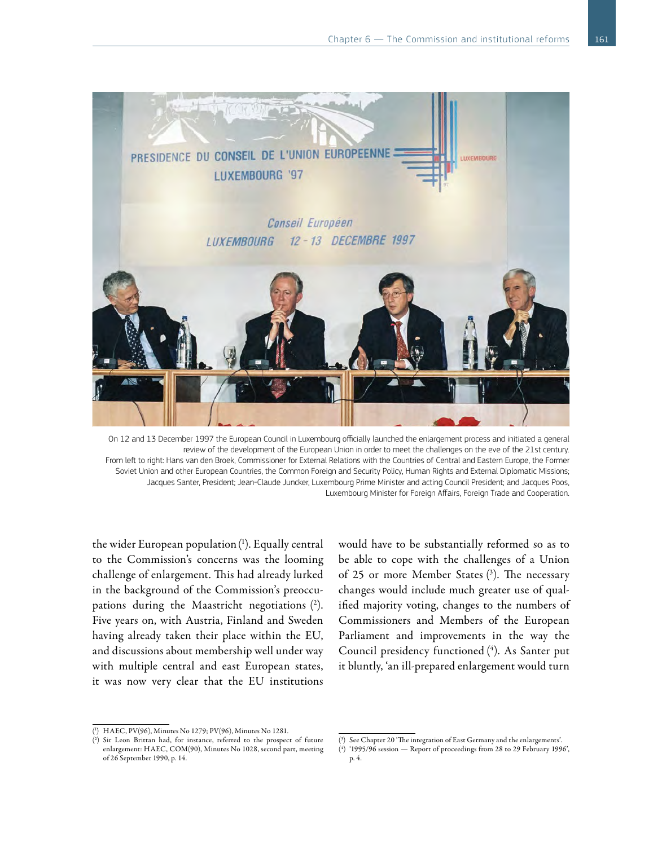

On 12 and 13 December 1997 the European Council in Luxembourg officially launched the enlargement process and initiated a general review of the development of the European Union in order to meet the challenges on the eve of the 21st century. From left to right: Hans van den Broek, Commissioner for External Relations with the Countries of Central and Eastern Europe, the Former Soviet Union and other European Countries, the Common Foreign and Security Policy, Human Rights and External Diplomatic Missions; Jacques Santer, President; Jean-Claude Juncker, Luxembourg Prime Minister and acting Council President; and Jacques Poos, Luxembourg Minister for Foreign Affairs, Foreign Trade and Cooperation.

the wider European population( 1 ). Equally central to the Commission's concerns was the looming challenge of enlargement. This had already lurked in the background of the Commission's preoccupations during the Maastricht negotiations ( 2 ). Five years on, with Austria, Finland and Sweden having already taken their place within the EU, and discussions about membership well under way with multiple central and east European states, it was now very clear that the EU institutions

would have to be substantially reformed so as to be able to cope with the challenges of a Union of 25 or more Member States ( 3 ). The necessary changes would include much greater use of qualified majority voting, changes to the numbers of Commissioners and Members of the European Parliament and improvements in the way the Council presidency functioned ( 4 ). As Santer put it bluntly, 'an ill-prepared enlargement would turn

<sup>(</sup> 1 ) HAEC, PV(96), Minutes No 1279; PV(96), Minutes No 1281.

<sup>(</sup> 2 ) Sir Leon Brittan had, for instance, referred to the prospect of future enlargement: HAEC, COM(90), Minutes No 1028, second part, meeting of 26 September 1990, p. 14.

<sup>(</sup> 3 ) See Chapter 20 'The integration of East Germany and the enlargements'.

<sup>(</sup> 4 ) '1995/96 session — Report of proceedings from 28 to 29 February 1996', p. 4.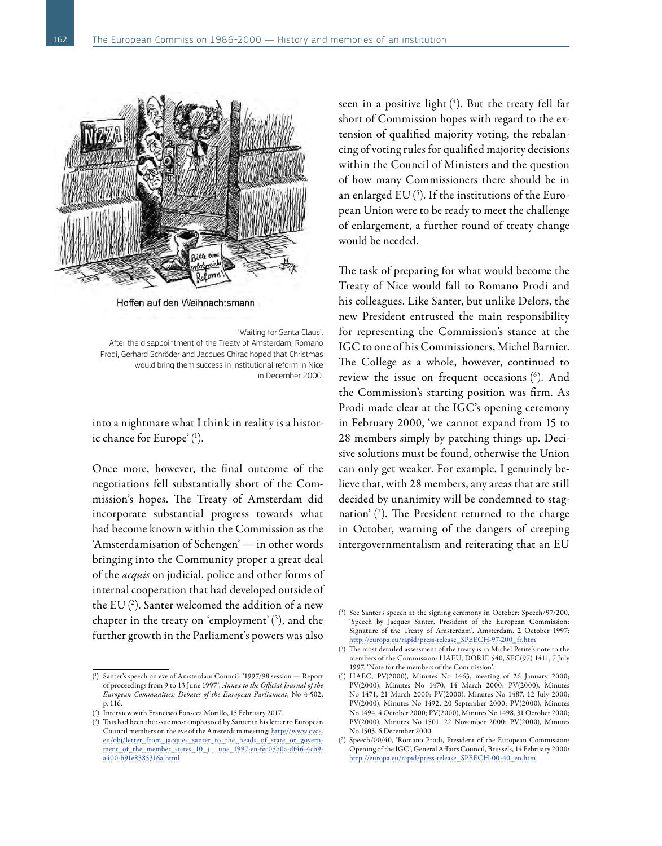

Hoffen auf den Weihnachtsmann

'Waiting for Santa Claus'. After the disappointment of the Treaty of Amsterdam, Romano Prodi, Gerhard Schröder and Jacques Chirac hoped that Christmas would bring them success in institutional reform in Nice in December 2000.

into a nightmare what I think in reality is a historic chance for Europe'( 1 ).

Once more, however, the final outcome of the negotiations fell substantially short of the Commission's hopes. The Treaty of Amsterdam did incorporate substantial progress towards what had become known within the Commission as the 'Amsterdamisation of Schengen' — in other words bringing into the Community proper a great deal of the *acquis* on judicial, police and other forms of internal cooperation that had developed outside of the EU  $(2)$ . Santer welcomed the addition of a new chapter in the treaty on 'employment'( 3 ), and the further growth in the Parliament's powers was also

seen in a positive light ( 4 ). But the treaty fell far short of Commission hopes with regard to the extension of qualified majority voting, the rebalancing of voting rules for qualified majority decisions within the Council of Ministers and the question of how many Commissioners there should be in an enlarged EU ( $^{\rm 5)}$ . If the institutions of the European Union were to be ready to meet the challenge of enlargement, a further round of treaty change would be needed.

The task of preparing for what would become the Treaty of Nice would fall to Romano Prodi and his colleagues. Like Santer, but unlike Delors, the new President entrusted the main responsibility for representing the Commission's stance at the IGC to one of his Commissioners, Michel Barnier. The College as a whole, however, continued to review the issue on frequent occasions (6). And the Commission's starting position was firm. As Prodi made clear at the IGC's opening ceremony in February 2000, 'we cannot expand from 15 to 28 members simply by patching things up. Decisive solutions must be found, otherwise the Union can only get weaker. For example, I genuinely believe that, with 28 members, any areas that are still decided by unanimity will be condemned to stagnation' ( 7 ). The President returned to the charge in October, warning of the dangers of creeping intergovernmentalism and reiterating that an EU

<sup>(</sup> 1 ) Santer's speech on eve of Amsterdam Council: '1997/98 session — Report of proceedings from 9 to 13 June 1997', *Annex to the Official Journal of the European Communities: Debates of the European Parliament*, No 4-502, p. 116.

<sup>(</sup> 2 ) Interview with Francisco Fonseca Morillo, 15 February 2017.

<sup>(</sup> 3 ) This had been the issue most emphasised by Santer in his letter to European Council members on the eve of the Amsterdam meeting[: http://www.cvce.](http://www.cvce.eu/obj/letter_from_jacques_santer_to_the_heads_of_state_or_government_of_the_member_states_10_j%20une_1997-en-fec05b0a-df46-4cb9-a400-b91e8385316a.html) eu/obj/letter\_from\_jacques\_santer\_to\_the\_heads\_of\_state\_or\_govern[ment\\_of\\_the\\_member\\_states\\_10\\_j une\\_1997-en-fec05b0a-df46-4cb9](http://www.cvce.eu/obj/letter_from_jacques_santer_to_the_heads_of_state_or_government_of_the_member_states_10_j%20une_1997-en-fec05b0a-df46-4cb9-a400-b91e8385316a.html)[a400-b91e8385316a.html](http://www.cvce.eu/obj/letter_from_jacques_santer_to_the_heads_of_state_or_government_of_the_member_states_10_j%20une_1997-en-fec05b0a-df46-4cb9-a400-b91e8385316a.html)

<sup>(</sup> 4 ) See Santer's speech at the signing ceremony in October: Speech/97/200, 'Speech by Jacques Santer, President of the European Commission: Signature of the Treaty of Amsterdam', Amsterdam, 2 October 1997: [http://europa.eu/rapid/press-release\\_SPEECH-97-200\\_fr.htm](http://europa.eu/rapid/press-release_SPEECH-97-200_fr.htm)

<sup>(</sup> 5 ) The most detailed assessment of the treaty is in Michel Petite's note to the members of the Commission: HAEU, DORIE 540, SEC(97) 1411, 7 July 1997, 'Note for the members of the Commission'.

<sup>(</sup> 6 ) HAEC, PV(2000), Minutes No 1463, meeting of 26 January 2000; PV(2000), Minutes No 1470, 14 March 2000; PV(2000), Minutes No 1471, 21 March 2000; PV(2000), Minutes No 1487, 12 July 2000; PV(2000), Minutes No 1492, 20 September 2000; PV(2000), Minutes No 1494, 4 October 2000; PV(2000), Minutes No 1498, 31 October 2000; PV(2000), Minutes No 1501, 22 November 2000; PV(2000), Minutes No 1503, 6 December 2000.

<sup>(</sup> 7 ) Speech/00/40, 'Romano Prodi, President of the European Commission: Opening of the IGC', General Affairs Council, Brussels, 14 February 2000: [http://europa.eu/rapid/press-release\\_SPEECH-00-40\\_en.htm](http://europa.eu/rapid/press-release_SPEECH-00-40_en.htm)